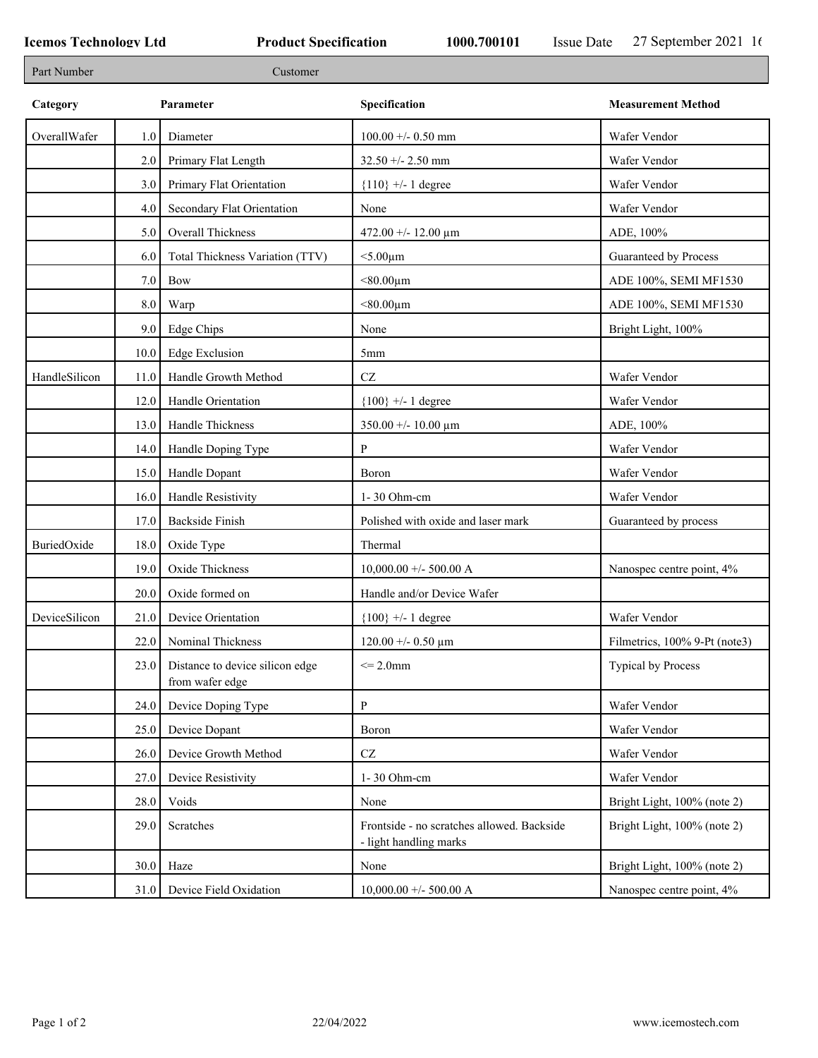٦

| Part Number   |           | Customer                                           |                                                                      |                               |
|---------------|-----------|----------------------------------------------------|----------------------------------------------------------------------|-------------------------------|
| Category      | Parameter |                                                    | Specification                                                        | <b>Measurement Method</b>     |
| OverallWafer  | 1.0       | Diameter                                           | $100.00 +/- 0.50$ mm                                                 | Wafer Vendor                  |
|               | 2.0       | Primary Flat Length                                | $32.50 + - 2.50$ mm                                                  | Wafer Vendor                  |
|               | 3.0       | Primary Flat Orientation                           | ${110}$ +/- 1 degree                                                 | Wafer Vendor                  |
|               | 4.0       | Secondary Flat Orientation                         | None                                                                 | Wafer Vendor                  |
|               | 5.0       | Overall Thickness                                  | $472.00 + - 12.00 \mu m$                                             | ADE, 100%                     |
|               | 6.0       | Total Thickness Variation (TTV)                    | $<$ 5.00 $\mu$ m                                                     | Guaranteed by Process         |
|               | 7.0       | Bow                                                | $< 80.00 \mu m$                                                      | ADE 100%, SEMI MF1530         |
|               | 8.0       | Warp                                               | $< 80.00 \mu m$                                                      | ADE 100%, SEMI MF1530         |
|               | 9.0       | <b>Edge Chips</b>                                  | None                                                                 | Bright Light, 100%            |
|               | 10.0      | <b>Edge Exclusion</b>                              | 5 <sub>mm</sub>                                                      |                               |
| HandleSilicon | 11.0      | Handle Growth Method                               | $\operatorname{CZ}$                                                  | Wafer Vendor                  |
|               | 12.0      | Handle Orientation                                 | ${100}$ +/- 1 degree                                                 | Wafer Vendor                  |
|               | 13.0      | Handle Thickness                                   | $350.00 +/- 10.00 \mu m$                                             | ADE, 100%                     |
|               | 14.0      | Handle Doping Type                                 | P                                                                    | Wafer Vendor                  |
|               | 15.0      | Handle Dopant                                      | Boron                                                                | Wafer Vendor                  |
|               | 16.0      | Handle Resistivity                                 | 1-30 Ohm-cm                                                          | Wafer Vendor                  |
|               | 17.0      | Backside Finish                                    | Polished with oxide and laser mark                                   | Guaranteed by process         |
| BuriedOxide   | 18.0      | Oxide Type                                         | Thermal                                                              |                               |
|               | 19.0      | Oxide Thickness                                    | $10,000.00 +/- 500.00 A$                                             | Nanospec centre point, 4%     |
|               | 20.0      | Oxide formed on                                    | Handle and/or Device Wafer                                           |                               |
| DeviceSilicon | 21.0      | Device Orientation                                 | ${100}$ +/- 1 degree                                                 | Wafer Vendor                  |
|               | 22.0      | Nominal Thickness                                  | $120.00 + - 0.50 \mu m$                                              | Filmetrics, 100% 9-Pt (note3) |
|               | 23.0      | Distance to device silicon edge<br>from wafer edge | $\leq$ 2.0mm                                                         | <b>Typical by Process</b>     |
|               | 24.0      | Device Doping Type                                 | ${\bf P}$                                                            | Wafer Vendor                  |
|               | 25.0      | Device Dopant                                      | Boron                                                                | Wafer Vendor                  |
|               | 26.0      | Device Growth Method                               | $\operatorname{CZ}$                                                  | Wafer Vendor                  |
|               | 27.0      | Device Resistivity                                 | 1-30 Ohm-cm                                                          | Wafer Vendor                  |
|               | 28.0      | Voids                                              | None                                                                 | Bright Light, 100% (note 2)   |
|               | 29.0      | Scratches                                          | Frontside - no scratches allowed. Backside<br>- light handling marks | Bright Light, 100% (note 2)   |
|               | 30.0      | Haze                                               | None                                                                 | Bright Light, 100% (note 2)   |
|               | 31.0      | Device Field Oxidation                             | $10,000.00 +/- 500.00 A$                                             | Nanospec centre point, 4%     |